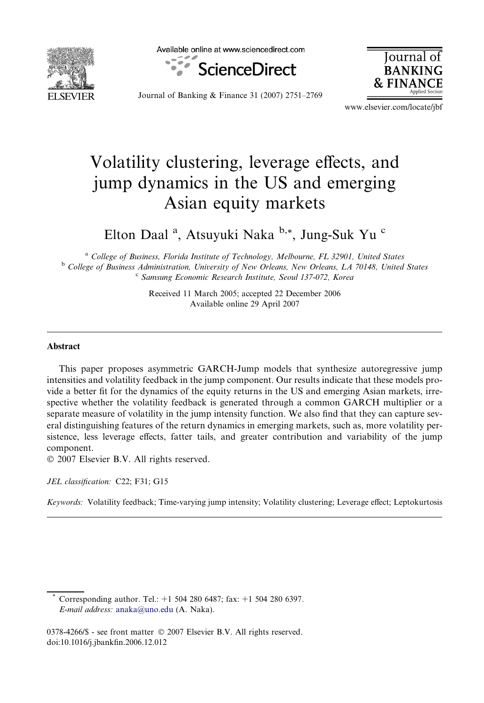

Available online at www.sciencedirect.com



Iournal **BANKING**  $&$  FINA

Journal of Banking & Finance 31 (2007) 2751–2769

www.elsevier.com/locate/jbf

## Volatility clustering, leverage effects, and jump dynamics in the US and emerging Asian equity markets

Elton Daal<sup>a</sup>, Atsuyuki Naka b,\*, Jung-Suk Yu c

<sup>a</sup> College of Business, Florida Institute of Technology, Melbourne, FL 32901, United States <sup>b</sup> College of Business Administration, University of New Orleans, New Orleans, LA 70148, United States <sup>c</sup> Samsung Economic Research Institute, Seoul 137-072, Korea

> Received 11 March 2005; accepted 22 December 2006 Available online 29 April 2007

## Abstract

This paper proposes asymmetric GARCH-Jump models that synthesize autoregressive jump intensities and volatility feedback in the jump component. Our results indicate that these models provide a better fit for the dynamics of the equity returns in the US and emerging Asian markets, irrespective whether the volatility feedback is generated through a common GARCH multiplier or a separate measure of volatility in the jump intensity function. We also find that they can capture several distinguishing features of the return dynamics in emerging markets, such as, more volatility persistence, less leverage effects, fatter tails, and greater contribution and variability of the jump component.

 $© 2007 Elsevier B.V. All rights reserved.$ 

JEL classification: C22; F31; G15

Keywords: Volatility feedback; Time-varying jump intensity; Volatility clustering; Leverage effect; Leptokurtosis

Corresponding author. Tel.: +1 504 280 6487; fax: +1 504 280 6397. E-mail address: [anaka@uno.edu](mailto:anaka@uno.edu) (A. Naka).

<sup>0378-4266/\$ -</sup> see front matter © 2007 Elsevier B.V. All rights reserved. doi:10.1016/j.jbankfin.2006.12.012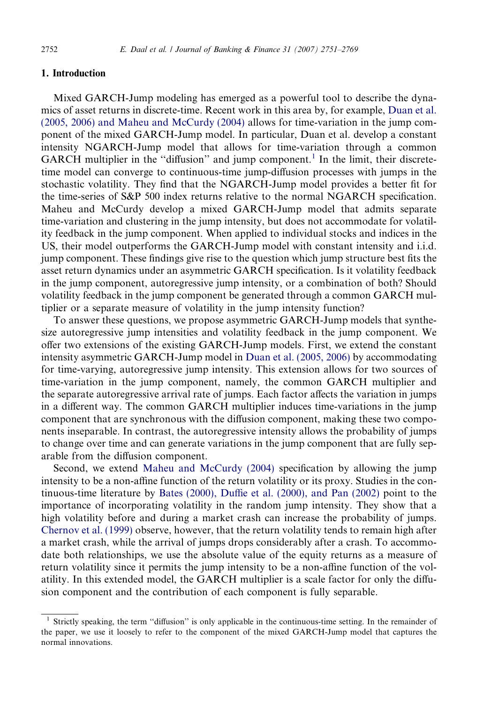## 1. Introduction

Mixed GARCH-Jump modeling has emerged as a powerful tool to describe the dynamics of asset returns in discrete-time. Recent work in this area by, for example, [Duan et al.](#page--1-0) [\(2005, 2006\) and Maheu and McCurdy \(2004\)](#page--1-0) allows for time-variation in the jump component of the mixed GARCH-Jump model. In particular, Duan et al. develop a constant intensity NGARCH-Jump model that allows for time-variation through a common GARCH multiplier in the "diffusion" and jump component.<sup>1</sup> In the limit, their discretetime model can converge to continuous-time jump-diffusion processes with jumps in the stochastic volatility. They find that the NGARCH-Jump model provides a better fit for the time-series of S&P 500 index returns relative to the normal NGARCH specification. Maheu and McCurdy develop a mixed GARCH-Jump model that admits separate time-variation and clustering in the jump intensity, but does not accommodate for volatility feedback in the jump component. When applied to individual stocks and indices in the US, their model outperforms the GARCH-Jump model with constant intensity and i.i.d. jump component. These findings give rise to the question which jump structure best fits the asset return dynamics under an asymmetric GARCH specification. Is it volatility feedback in the jump component, autoregressive jump intensity, or a combination of both? Should volatility feedback in the jump component be generated through a common GARCH multiplier or a separate measure of volatility in the jump intensity function?

To answer these questions, we propose asymmetric GARCH-Jump models that synthesize autoregressive jump intensities and volatility feedback in the jump component. We offer two extensions of the existing GARCH-Jump models. First, we extend the constant intensity asymmetric GARCH-Jump model in [Duan et al. \(2005, 2006\)](#page--1-0) by accommodating for time-varying, autoregressive jump intensity. This extension allows for two sources of time-variation in the jump component, namely, the common GARCH multiplier and the separate autoregressive arrival rate of jumps. Each factor affects the variation in jumps in a different way. The common GARCH multiplier induces time-variations in the jump component that are synchronous with the diffusion component, making these two components inseparable. In contrast, the autoregressive intensity allows the probability of jumps to change over time and can generate variations in the jump component that are fully separable from the diffusion component.

Second, we extend [Maheu and McCurdy \(2004\)](#page--1-0) specification by allowing the jump intensity to be a non-affine function of the return volatility or its proxy. Studies in the continuous-time literature by [Bates \(2000\), Duffie et al. \(2000\), and Pan \(2002\)](#page--1-0) point to the importance of incorporating volatility in the random jump intensity. They show that a high volatility before and during a market crash can increase the probability of jumps. [Chernov et al. \(1999\)](#page--1-0) observe, however, that the return volatility tends to remain high after a market crash, while the arrival of jumps drops considerably after a crash. To accommodate both relationships, we use the absolute value of the equity returns as a measure of return volatility since it permits the jump intensity to be a non-affine function of the volatility. In this extended model, the GARCH multiplier is a scale factor for only the diffusion component and the contribution of each component is fully separable.

<sup>&</sup>lt;sup>1</sup> Strictly speaking, the term "diffusion" is only applicable in the continuous-time setting. In the remainder of the paper, we use it loosely to refer to the component of the mixed GARCH-Jump model that captures the normal innovations.